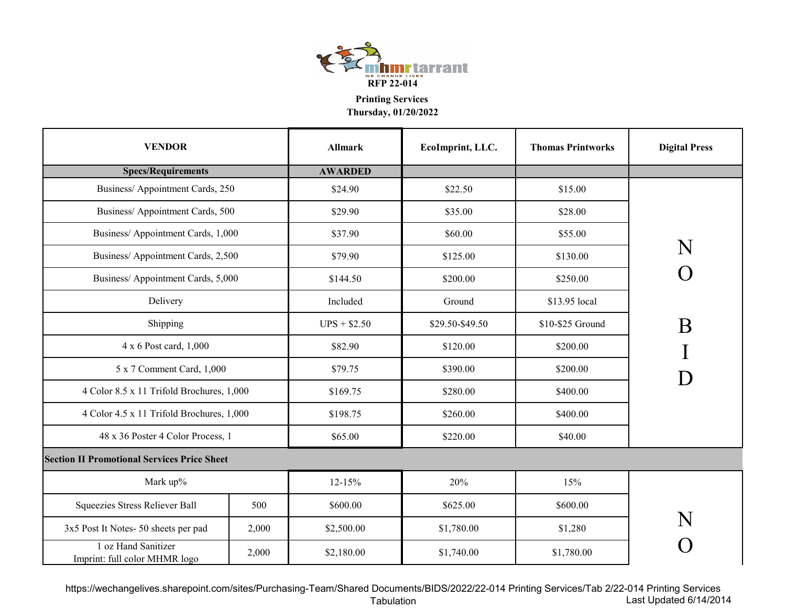

**Thursday, 01/20/2022**

| <b>VENDOR</b>                                        |       | <b>Allmark</b> | EcoImprint, LLC. | <b>Thomas Printworks</b> | <b>Digital Press</b> |
|------------------------------------------------------|-------|----------------|------------------|--------------------------|----------------------|
| <b>Specs/Requirements</b>                            |       | <b>AWARDED</b> |                  |                          |                      |
| Business/ Appointment Cards, 250                     |       | \$24.90        | \$22.50          | \$15.00                  |                      |
| Business/ Appointment Cards, 500                     |       | \$29.90        | \$35.00          | \$28.00                  |                      |
| Business/ Appointment Cards, 1,000                   |       | \$37.90        | \$60.00          | \$55.00                  |                      |
| Business/ Appointment Cards, 2,500                   |       | \$79.90        | \$125.00         | \$130.00                 | N                    |
| Business/ Appointment Cards, 5,000                   |       | \$144.50       | \$200.00         | \$250.00                 |                      |
| Delivery                                             |       | Included       | Ground           | \$13.95 local            |                      |
| Shipping                                             |       | $UPS + $2.50$  | \$29.50-\$49.50  | \$10-\$25 Ground         | B                    |
| 4 x 6 Post card, 1,000                               |       | \$82.90        | \$120.00         | \$200.00                 |                      |
| 5 x 7 Comment Card, 1,000                            |       | \$79.75        | \$390.00         | \$200.00                 |                      |
| 4 Color 8.5 x 11 Trifold Brochures, 1,000            |       | \$169.75       | \$280.00         | \$400.00                 |                      |
| 4 Color 4.5 x 11 Trifold Brochures, 1,000            |       | \$198.75       | \$260.00         | \$400.00                 |                      |
| 48 x 36 Poster 4 Color Process, 1                    |       | \$65.00        | \$220.00         | \$40.00                  |                      |
| <b>Section II Promotional Services Price Sheet</b>   |       |                |                  |                          |                      |
| Mark up%                                             |       | $12 - 15%$     | 20%              | 15%                      |                      |
| Squeezies Stress Reliever Ball                       | 500   | \$600.00       | \$625.00         | \$600.00                 |                      |
| 3x5 Post It Notes- 50 sheets per pad                 | 2,000 | \$2,500.00     | \$1,780.00       | \$1,280                  |                      |
| 1 oz Hand Sanitizer<br>Imprint: full color MHMR logo | 2,000 | \$2,180.00     | \$1,740.00       | \$1,780.00               |                      |

https://wechangelives.sharepoint.com/sites/Purchasing-Team/Shared Documents/BIDS/2022/22-014 Printing Services/Tab 2/22-014 Printing Services TabulationLast Updated 6/14/2014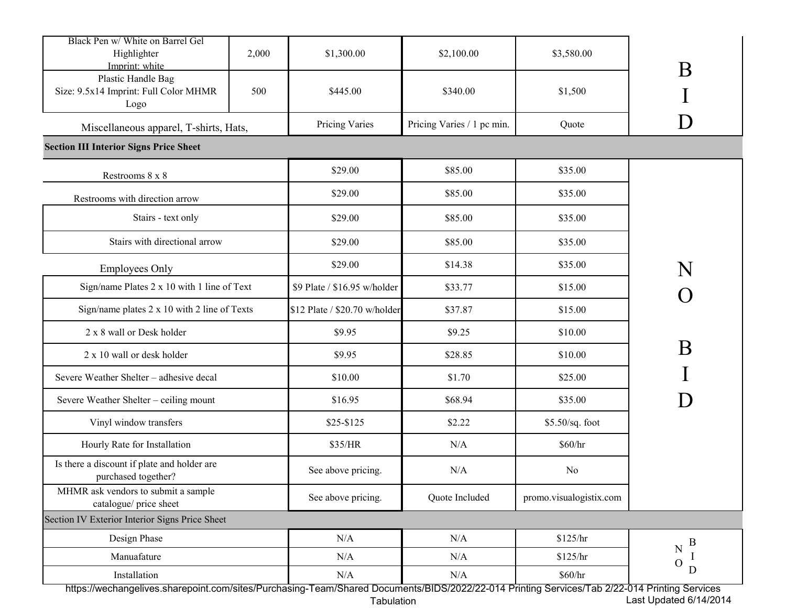| Black Pen w/ White on Barrel Gel<br>Highlighter<br>Imprint: white<br>Plastic Handle Bag<br>Size: 9.5x14 Imprint: Full Color MHMR              | 2,000<br>500 | \$1,300.00<br>\$445.00        | \$2,100.00<br>\$340.00     | \$3,580.00<br>\$1,500   | B                      |
|-----------------------------------------------------------------------------------------------------------------------------------------------|--------------|-------------------------------|----------------------------|-------------------------|------------------------|
| Logo<br>Miscellaneous apparel, T-shirts, Hats,                                                                                                |              | Pricing Varies                | Pricing Varies / 1 pc min. | Quote                   |                        |
| <b>Section III Interior Signs Price Sheet</b>                                                                                                 |              |                               |                            |                         |                        |
| Restrooms 8 x 8                                                                                                                               |              | \$29.00                       | \$85.00                    | \$35.00                 |                        |
| Restrooms with direction arrow                                                                                                                |              | \$29.00                       | \$85.00                    | \$35.00                 |                        |
| Stairs - text only                                                                                                                            |              | \$29.00                       | \$85.00                    | \$35.00                 |                        |
| Stairs with directional arrow                                                                                                                 |              | \$29.00                       | \$85.00                    | \$35.00                 |                        |
| <b>Employees Only</b>                                                                                                                         |              | \$29.00                       | \$14.38                    | \$35.00                 |                        |
| Sign/name Plates 2 x 10 with 1 line of Text                                                                                                   |              | \$9 Plate / \$16.95 w/holder  | \$33.77                    | \$15.00                 |                        |
| Sign/name plates 2 x 10 with 2 line of Texts                                                                                                  |              | \$12 Plate / \$20.70 w/holder | \$37.87                    | \$15.00                 |                        |
| 2 x 8 wall or Desk holder                                                                                                                     |              | \$9.95                        | \$9.25                     | \$10.00                 |                        |
| 2 x 10 wall or desk holder                                                                                                                    |              | \$9.95                        | \$28.85                    | \$10.00                 | B                      |
| Severe Weather Shelter - adhesive decal                                                                                                       |              | \$10.00                       | \$1.70                     | \$25.00                 |                        |
| Severe Weather Shelter - ceiling mount                                                                                                        |              | \$16.95                       | \$68.94                    | \$35.00                 |                        |
| Vinyl window transfers                                                                                                                        |              | $$25-$125$                    | \$2.22                     | $$5.50/sq.$ foot        |                        |
| Hourly Rate for Installation                                                                                                                  |              | \$35/HR                       | N/A                        | \$60/hr                 |                        |
| Is there a discount if plate and holder are<br>purchased together?                                                                            |              | See above pricing.            | N/A                        | No                      |                        |
| MHMR ask vendors to submit a sample<br>catalogue/ price sheet                                                                                 |              | See above pricing.            | Quote Included             | promo.visualogistix.com |                        |
| Section IV Exterior Interior Signs Price Sheet                                                                                                |              |                               |                            |                         |                        |
| Design Phase                                                                                                                                  |              | $\rm N/A$                     | N/A                        | \$125/hr                | B                      |
| Manuafature                                                                                                                                   |              | N/A                           | N/A                        | \$125/hr                | N<br>$\mathcal{O}$     |
| Installation                                                                                                                                  |              | N/A                           | N/A                        | \$60/hr                 | D                      |
| https://wechangelives.sharepoint.com/sites/Purchasing-Team/Shared Documents/BIDS/2022/22-014 Printing Services/Tab 2/22-014 Printing Services |              | Tabulation                    |                            |                         | Last Updated 6/14/2014 |